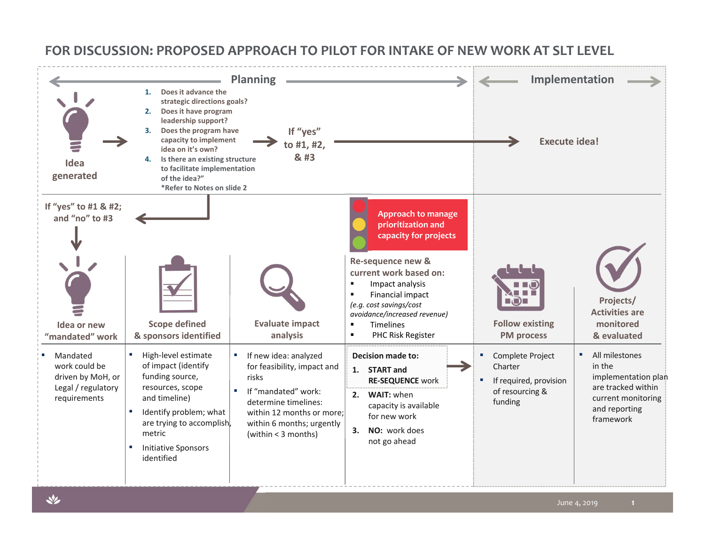#### **FOR DISCUSSION: PROPOSED APPROACH TO PILOT FOR INTAKE OF NEW WORK AT SLT LEVEL**



June 4, 2019 **1**